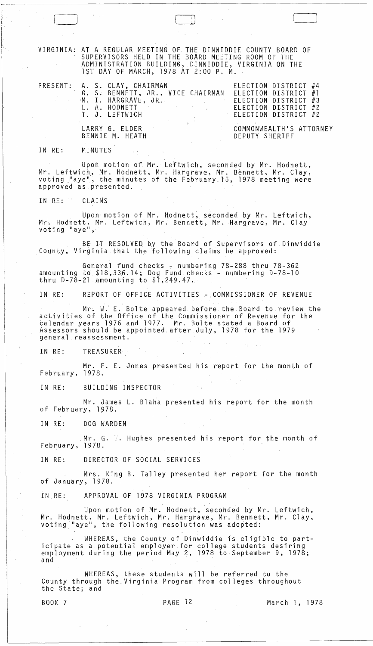|    |                    | VIRGINIA: AT A REGULAR MEETING OF THE DINWIDDIE COUNTY BOARD OF<br>SUPERVISORS HELD IN THE BOARD MEETING ROOM OF THE<br>ADMINISTRATION BUILDING, DINWIDDIE, VIRGINIA ON THE<br>1ST DAY OF MARCH, 1978 AT 2:00 P. M.                                                             |                                                        |                                                                                              |  |
|----|--------------------|---------------------------------------------------------------------------------------------------------------------------------------------------------------------------------------------------------------------------------------------------------------------------------|--------------------------------------------------------|----------------------------------------------------------------------------------------------|--|
|    |                    | PRESENT: A. S. CLAY, CHAIRMAN<br>G. S. BENNETT, JR., VICE CHAIRMAN ELECTION DISTRICT #1<br>M. I. HARGRAVE, JR.<br>L. A. HODNETT<br>T. J. LEFTWICH                                                                                                                               |                                                        | ELECTION DISTRICT #4<br>ELECTION DISTRICT #3<br>ELECTION DISTRICT #2<br>ELECTION DISTRICT #2 |  |
|    |                    | LARRY G. ELDER<br>BENNIE M. HEATH                                                                                                                                                                                                                                               |                                                        | COMMONWEALTH'S ATTORNEY<br>DEPUTY SHERIFF                                                    |  |
|    | IN RE: MINUTES     |                                                                                                                                                                                                                                                                                 |                                                        |                                                                                              |  |
|    |                    | Upon motion of Mr. Leftwich, seconded by Mr. Hodnett,<br>Mr. Leftwich, Mr. Hodnett, Mr. Hargrave, Mr. Bennett, Mr. Clay,<br>voting "aye", the minutes of the February 15, 1978 meeting were<br>approved as presented.                                                           |                                                        |                                                                                              |  |
|    | IN RE: CLAIMS      |                                                                                                                                                                                                                                                                                 |                                                        |                                                                                              |  |
|    | voting "aye",      | Upon motion of Mr. Hodnett, seconded by Mr. Leftwich,<br>Mr. Hodnett, Mr. Leftwich, Mr. Bennett, Mr. Hargrave, Mr. Clay                                                                                                                                                         |                                                        |                                                                                              |  |
|    |                    | BE IT RESOLVED by the Board of Supervisors of Dinwiddie<br>County, Virginia that the following claims be approved:                                                                                                                                                              |                                                        |                                                                                              |  |
|    |                    | General fund checks - numbering 78-288 thru 78-362<br>amounting to \$18,336.14; Dog Fund checks - numbering D-78-10<br>thru $D-78-21$ amounting to $$1,249.47.$                                                                                                                 |                                                        |                                                                                              |  |
|    |                    | IN RE: REPORT OF OFFICE ACTIVITIES - COMMISSIONER OF REVENUE                                                                                                                                                                                                                    |                                                        |                                                                                              |  |
|    |                    | Mr. W. E. Bolte appeared before the Board to review the<br>activities of the Office of the Commissioner of Revenue for the<br>calendar years 1976 and 1977. Mr. Bolte stated a Board of<br>Assessors should be appointed after July, 1978 for the 1979<br>general reassessment. |                                                        |                                                                                              |  |
| ÷. | IN RE:             | TREASURER                                                                                                                                                                                                                                                                       |                                                        | <b>SALL DA</b>                                                                               |  |
|    | February, 1978.    | Mr. F. E. Jones presented his report for the month of                                                                                                                                                                                                                           |                                                        |                                                                                              |  |
|    | IN RE:             | BUILDING INSPECTOR                                                                                                                                                                                                                                                              |                                                        |                                                                                              |  |
|    | of February, 1978. | Mr. James L. Blaha presented his report for the month                                                                                                                                                                                                                           |                                                        |                                                                                              |  |
|    |                    | IN RE: DOG WARDEN                                                                                                                                                                                                                                                               |                                                        |                                                                                              |  |
|    | February, 1978.    | Mr. G. T. Hughes presented his report for the month of                                                                                                                                                                                                                          |                                                        |                                                                                              |  |
|    |                    | IN RE: DIRECTOR OF SOCIAL SERVICES                                                                                                                                                                                                                                              |                                                        |                                                                                              |  |
|    | of January, 1978.  |                                                                                                                                                                                                                                                                                 | Mrs. King B. Talley presented her report for the month |                                                                                              |  |
|    | IN RE:             | APPROVAL OF 1978 VIRGINIA PROGRAM                                                                                                                                                                                                                                               |                                                        |                                                                                              |  |
|    |                    | Mr. Hodnett, Mr. Leftwich, Mr. Hargrave, Mr. Bennett, Mr. Clay,<br>voting "aye", the following resolution was adopted:                                                                                                                                                          | Upon motion of Mr. Hodnett, seconded by Mr. Leftwich,  |                                                                                              |  |
|    | and                | icipate as a potential employer for college students desiring<br>employment during the period May 2, 1978 to September 9, 1978;                                                                                                                                                 | WHEREAS, the County of Dinwiddie is eligible to part-  |                                                                                              |  |
|    | the State; and     | County through the Virginia Program from colleges throughout                                                                                                                                                                                                                    | WHEREAS, these students will be referred to the        |                                                                                              |  |
|    | <b>BOOK 7</b>      |                                                                                                                                                                                                                                                                                 | PAGE 12                                                | March 1, 1978                                                                                |  |
|    |                    |                                                                                                                                                                                                                                                                                 |                                                        |                                                                                              |  |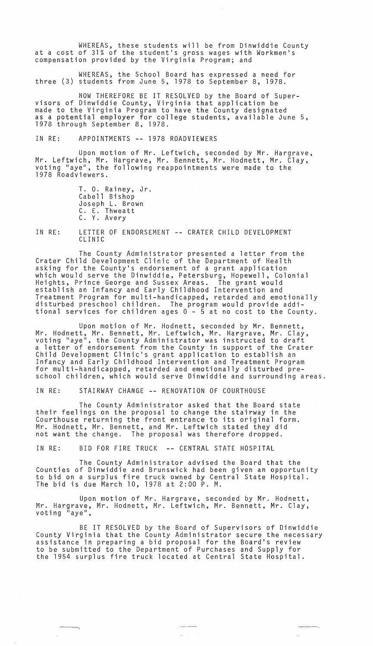WHEREAS, these students will be from Dinwiddie County at a cost of 31% of the student's gross wages with Workmen's compensation provided by the Virginia Program; and

WHEREAS, the School Board has expressed a need for three (3) students from June 5, 1978 to September 8, 1978.

NOW THEREFORE BE IT RESOLVED by the Board of Super-<br>visors of Dinwiddie County, Virginia that application be made to the Virginia Program to have the County designated as a potential employer for college students, available June 5, 1978 through September 8, 1978.

## IN RE: APPOINTMENTS **--** 1978 ROADVIEWERS

Upon motion of Mr. Leftwich, seconded by Mr. Hargrave, Mr. Leftwich, Mr. Hargrave, Mr. Bennett, Mr. Hodnett, Mr. Clay, voting "aye", the following reappointments were made to the 1978 Roadviewers.

> T. O. Rainey, Jr. Joseph L. Brown C. E. Thweatt C. Y. Avery

IN RE: LETTER OF ENDORSEMENT -- CRATER CHILD DEVELOPMENT CLINIC

The County Administrator presented a letter from the Crater Child Development Clinic of the Department of Health asking for the County's endorsement of a grant application which would serve the Dinwiddie, Petersburg, Hopewell, Colonial Heights, Prince George and Sussex Areas. The grant would establish an Infancy and Early Childhood Intervention and Treatment Program for multi-handicapped, retarded and emotionally disturbed preschool children. The program would provide additional services for children ages 0 - 5 at no cost to the County.

Upon motion of Mr. Hodnett, seconded by Mr. Bennett, Mr. Hodnett, Mr. Bennett, Mr. Leftwich, Mr. Hargrave, Mr. Clay, voting "aye", the County Administrator was instructed to draft a letter of endorsement from the County in support of the Crater Child Development Clinic's grant application to establish an Infancy and Early Childhood Intervention and Treatment Program for multi-handicapped, retarded and emotionally disturbed preschool children, which would serve Dinwiddie and surrounding areas.

IN RE: STAIRWAY CHANGE **--** RENOVATION OF COURTHOUSE

The County Administrator asked that the Board state their feelings on the proposal to change the stairway in the Courthouse returning the front entrance to its original form. Mr. Hodnett, Mr. Bennett, and Mr. Leftwich stated they did not want the change. The proposal was therefore dropped.

IN RE: BID FOR FIRE TRUCK **--** CENTRAL STATE HOSPITAL

The County Administrator advised the Board that the Counties of Dinwiddie and Brunswick had been given an opportunity to bid on a surplus fire truck owned by Central State Hospital. The bid is due March 10, 1978 at 2:00 P. M.

Upon motion of Mr. Hargrave, seconded by Mr. Hodnett, Mr. Hargrave, Mr. Hodnett, Mr. Leftwich, Mr. Bennett, Mr. Clay, voting "aye",

BE IT RESOLVED by the Board of Supervisors of Dinwiddie County Virginia that the County Administrator secure the necessary assistance in preparing a bid proposal for the Board's review to be submitted to the Department of Purchases and Supply for the 1954 surplus fire truck located at Central State Hospital.

 $-$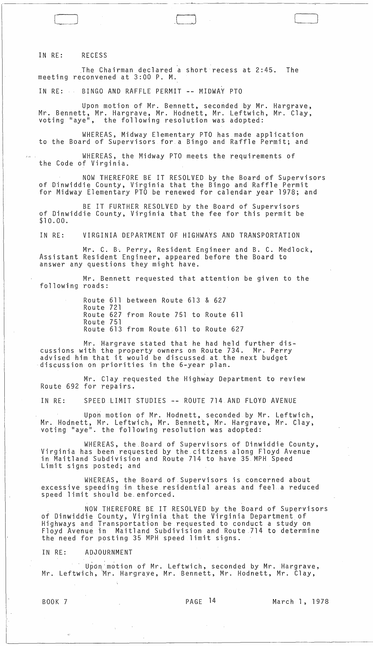IN RE: RECESS

.The Chairman declared a short recess at 2:45. The meeting reconvened at 3:00 P. M.

~- ~-~.--~-~------------,,---------

,0 [\_J

IN RE: BINGO AND RAFFLE PERMIT -- MIDWAY PTO

Upon motion of Mr. Bennett, seconded by Mr. Hargrave, Mr. Bennett, Mr. Hargrave, Mr. Hodnett, Mr. Leftwich, Mr. Clay, voting "aye", the following resolution was adopted:

WHEREAS, Midway Elementary PTO has made application to the Board of Supervisors for.a Bingo and Raffle Permit; and

WHEREAS, the Midway PTO meets the requirements of the Code of Virginia.

NOW THEREFORE BE IT RESOLVED by the Board of Supervisors of Dinwiddie County, Virginia that the Bingo and Raffle Permit for Midway Elementary PTO be renewed for calendar year 1978; and

BE IT FURTHER RESOLVED by the Board of Supervisors of Dinwiddie County, Virginia that the fee for this permit be \$10.00.

IN RE: VIRGINIA DEPARTMENT OF HIGHWAYS AND TRANSPORTATION

Mr. C. B'. Perry, Resident Engineer and B. C. Medlock, Assistant Resident Engineer, appeared before the Board to answer any questions they might have.

Mr. Bennett requested that attention be given to the following roads:

> Route 611 between Route 613 & 627 Route 721 Route 627 from Route 751 to Route 611 Route 751 Route 613 from Route 611 to Route 627

Mr. Hargrave stated that he had held further discussions with the property owners on Route 734. Mr. Perry advised him that it would be discussed at the next budget discussion on priorities in the 6-year plan.

Mr. Clay requested the Highway Department to review Route 692 for repairs.

IN RE: SPEED LIMIT STUDIES -- ROUTE 714 AND FLOYD AVENUE

Upon motion of Mr. Hodnett, seconded by Mr. Leftwich, Mr. Hodnett, Mr. Leftwich, Mr. Bennett, Mr. Hargrave, Mr. Clay, voting "aye". the following resolution was adopted:

WHEREAS, the.Board of Supervisors of Dinwiddie County, Virginia has been requested by the citizens along Floyd Avenue in Maitland Subdivision and Route 714 to have 35 MPH Speed<br>Limit signs posted; and

WHEREAS, the Board of Supervisors is concerned about excessive speeding in these residential areas and feel a reduced speed limit should be. enforced.

NOW THEREFORE BE IT RESOLVED by the Board of Supervisors of Dinwiddie County, Virginia that the Virginia Department of Highways and Transportation be requested to conduct a study on Floyd Avenue in Maitland Subdivision and Route 714 to determine the need for posting 35 MPH speed limit signs.

IN RE: ADJOURNMENT

Upon motion of Mr. Leftwich, seconded by Mr. Hargrave, Mr. Leftwich, \Mr. Hargraye, Mr. Bennett, Mr. Hodnett, Mr. Clay,

 $\mathcal{O}(\mathcal{O}(\log n))$  . The  $\mathcal{O}(\log n)$ 

BOOK 7 PAGE 14 March 1, 1978